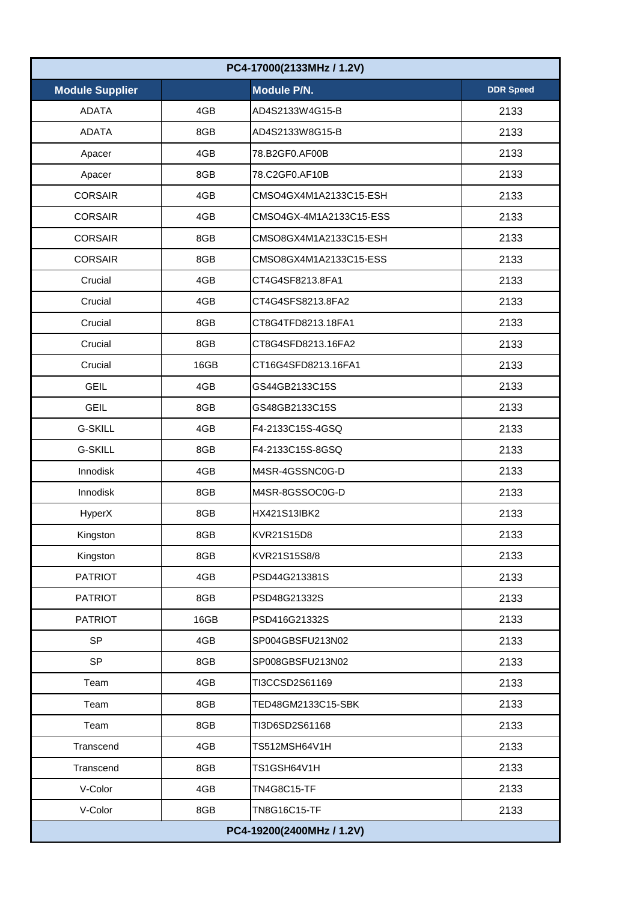| PC4-17000(2133MHz / 1.2V) |      |                         |                  |  |
|---------------------------|------|-------------------------|------------------|--|
| <b>Module Supplier</b>    |      | Module P/N.             | <b>DDR Speed</b> |  |
| <b>ADATA</b>              | 4GB  | AD4S2133W4G15-B         | 2133             |  |
| <b>ADATA</b>              | 8GB  | AD4S2133W8G15-B         | 2133             |  |
| Apacer                    | 4GB  | 78.B2GF0.AF00B          | 2133             |  |
| Apacer                    | 8GB  | 78.C2GF0.AF10B          | 2133             |  |
| <b>CORSAIR</b>            | 4GB  | CMSO4GX4M1A2133C15-ESH  | 2133             |  |
| <b>CORSAIR</b>            | 4GB  | CMSO4GX-4M1A2133C15-ESS | 2133             |  |
| <b>CORSAIR</b>            | 8GB  | CMSO8GX4M1A2133C15-ESH  | 2133             |  |
| <b>CORSAIR</b>            | 8GB  | CMSO8GX4M1A2133C15-ESS  | 2133             |  |
| Crucial                   | 4GB  | CT4G4SF8213.8FA1        | 2133             |  |
| Crucial                   | 4GB  | CT4G4SFS8213.8FA2       | 2133             |  |
| Crucial                   | 8GB  | CT8G4TFD8213.18FA1      | 2133             |  |
| Crucial                   | 8GB  | CT8G4SFD8213.16FA2      | 2133             |  |
| Crucial                   | 16GB | CT16G4SFD8213.16FA1     | 2133             |  |
| <b>GEIL</b>               | 4GB  | GS44GB2133C15S          | 2133             |  |
| <b>GEIL</b>               | 8GB  | GS48GB2133C15S          | 2133             |  |
| <b>G-SKILL</b>            | 4GB  | F4-2133C15S-4GSQ        | 2133             |  |
| <b>G-SKILL</b>            | 8GB  | F4-2133C15S-8GSQ        | 2133             |  |
| Innodisk                  | 4GB  | M4SR-4GSSNC0G-D         | 2133             |  |
| Innodisk                  | 8GB  | M4SR-8GSSOC0G-D         | 2133             |  |
| HyperX                    | 8GB  | HX421S13IBK2            | 2133             |  |
| Kingston                  | 8GB  | KVR21S15D8              | 2133             |  |
| Kingston                  | 8GB  | KVR21S15S8/8            | 2133             |  |
| <b>PATRIOT</b>            | 4GB  | PSD44G213381S           | 2133             |  |
| <b>PATRIOT</b>            | 8GB  | PSD48G21332S            | 2133             |  |
| <b>PATRIOT</b>            | 16GB | PSD416G21332S           | 2133             |  |
| <b>SP</b>                 | 4GB  | SP004GBSFU213N02        | 2133             |  |
| <b>SP</b>                 | 8GB  | SP008GBSFU213N02        | 2133             |  |
| Team                      | 4GB  | TI3CCSD2S61169          | 2133             |  |
| Team                      | 8GB  | TED48GM2133C15-SBK      | 2133             |  |
| Team                      | 8GB  | TI3D6SD2S61168          | 2133             |  |
| Transcend                 | 4GB  | TS512MSH64V1H           | 2133             |  |
| Transcend                 | 8GB  | TS1GSH64V1H             | 2133             |  |
| V-Color                   | 4GB  | <b>TN4G8C15-TF</b>      | 2133             |  |
| V-Color                   | 8GB  | TN8G16C15-TF            | 2133             |  |
| PC4-19200(2400MHz / 1.2V) |      |                         |                  |  |